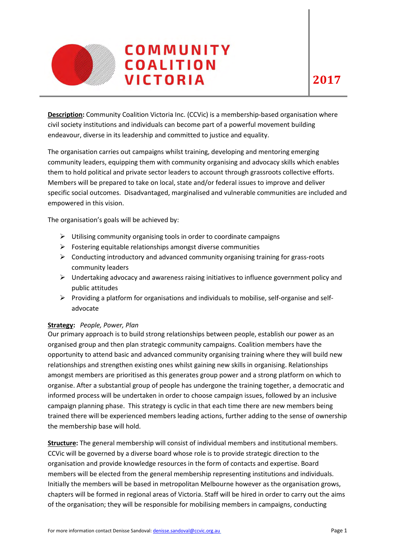

**Description:** Community Coalition Victoria Inc. (CCVic) is a membership-based organisation where civil society institutions and individuals can become part of a powerful movement building endeavour, diverse in its leadership and committed to justice and equality.

The organisation carries out campaigns whilst training, developing and mentoring emerging community leaders, equipping them with community organising and advocacy skills which enables them to hold political and private sector leaders to account through grassroots collective efforts. Members will be prepared to take on local, state and/or federal issues to improve and deliver specific social outcomes. Disadvantaged, marginalised and vulnerable communities are included and empowered in this vision.

The organisation's goals will be achieved by:

- $\triangleright$  Utilising community organising tools in order to coordinate campaigns
- $\triangleright$  Fostering equitable relationships amongst diverse communities
- $\triangleright$  Conducting introductory and advanced community organising training for grass-roots community leaders
- $\triangleright$  Undertaking advocacy and awareness raising initiatives to influence government policy and public attitudes
- $\triangleright$  Providing a platform for organisations and individuals to mobilise, self-organise and selfadvocate

## **Strategy:** *People, Power, Plan*

Our primary approach is to build strong relationships between people, establish our power as an organised group and then plan strategic community campaigns. Coalition members have the opportunity to attend basic and advanced community organising training where they will build new relationships and strengthen existing ones whilst gaining new skills in organising. Relationships amongst members are prioritised as this generates group power and a strong platform on which to organise. After a substantial group of people has undergone the training together, a democratic and informed process will be undertaken in order to choose campaign issues, followed by an inclusive campaign planning phase. This strategy is cyclic in that each time there are new members being trained there will be experienced members leading actions, further adding to the sense of ownership the membership base will hold.

**Structure:** The general membership will consist of individual members and institutional members. CCVic will be governed by a diverse board whose role is to provide strategic direction to the organisation and provide knowledge resources in the form of contacts and expertise. Board members will be elected from the general membership representing institutions and individuals. Initially the members will be based in metropolitan Melbourne however as the organisation grows, chapters will be formed in regional areas of Victoria. Staff will be hired in order to carry out the aims of the organisation; they will be responsible for mobilising members in campaigns, conducting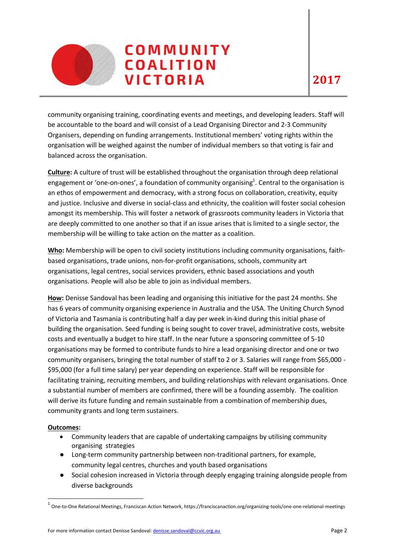

community organising training, coordinating events and meetings, and developing leaders. Staff will be accountable to the board and will consist of a Lead Organising Director and 2-3 Community Organisers, depending on funding arrangements. Institutional members' voting rights within the organisation will be weighed against the number of individual members so that voting is fair and balanced across the organisation.

**Culture:** A culture of trust will be established throughout the organisation through deep relational engagement or 'one-on-ones', a foundation of community organising<sup>1</sup>. Central to the organisation is an ethos of empowerment and democracy, with a strong focus on collaboration, creativity, equity and justice. Inclusive and diverse in social-class and ethnicity, the coalition will foster social cohesion amongst its membership. This will foster a network of grassroots community leaders in Victoria that are deeply committed to one another so that if an issue arises that is limited to a single sector, the membership will be willing to take action on the matter as a coalition.

**Who:** Membership will be open to civil society institutions including community organisations, faithbased organisations, trade unions, non-for-profit organisations, schools, community art organisations, legal centres, social services providers, ethnic based associations and youth organisations. People will also be able to join as individual members.

**How:** Denisse Sandoval has been leading and organising this initiative for the past 24 months. She has 6 years of community organising experience in Australia and the USA. The Uniting Church Synod of Victoria and Tasmania is contributing half a day per week in-kind during this initial phase of building the organisation. Seed funding is being sought to cover travel, administrative costs, website costs and eventually a budget to hire staff. In the near future a sponsoring committee of 5-10 organisations may be formed to contribute funds to hire a lead organising director and one or two community organisers, bringing the total number of staff to 2 or 3. Salaries will range from \$65,000 - \$95,000 (for a full time salary) per year depending on experience. Staff will be responsible for facilitating training, recruiting members, and building relationships with relevant organisations. Once a substantial number of members are confirmed, there will be a founding assembly. The coalition will derive its future funding and remain sustainable from a combination of membership dues, community grants and long term sustainers.

## **Outcomes:**

**.** 

- Community leaders that are capable of undertaking campaigns by utilising community organising strategies
- Long-term community partnership between non-traditional partners, for example, community legal centres, churches and youth based organisations
- Social cohesion increased in Victoria through deeply engaging training alongside people from diverse backgrounds

 $^1$  One-to-One Relational Meetings, Franciscan Action Network, https://franciscanaction.org/organizing-tools/one-one-relational-meetings